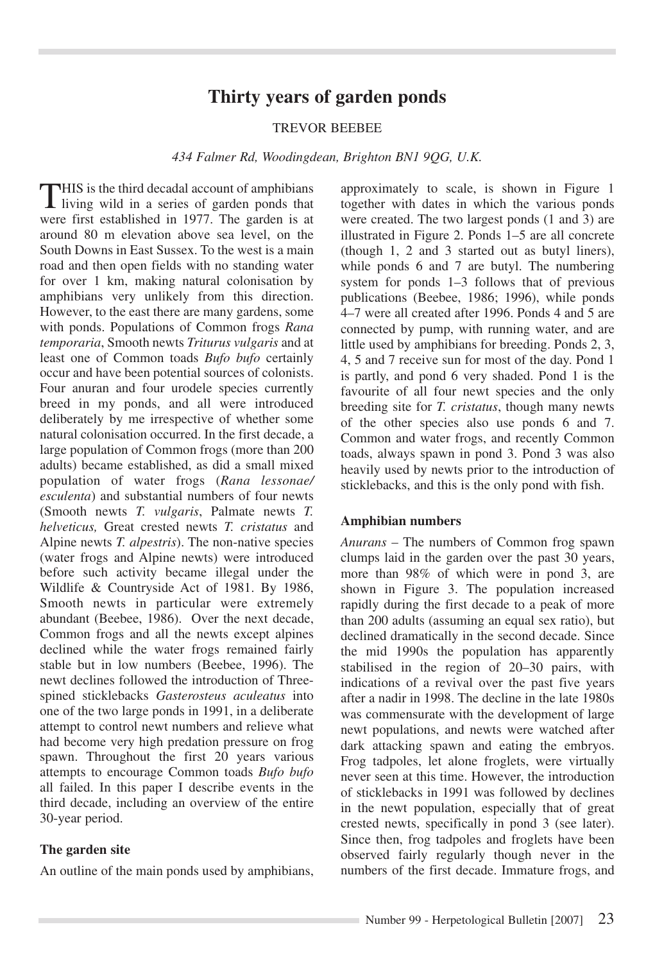# **Thirty years of garden ponds**

## TREVOR BEEBEE

*434 Falmer Rd, Woodingdean, Brighton BN1 9QG, U.K.*

THIS is the third decadal account of amphibians living wild in a series of garden ponds that were first established in 1977. The garden is at around 80 m elevation above sea level, on the South Downs in East Sussex. To the west is a main road and then open fields with no standing water for over 1 km, making natural colonisation by amphibians very unlikely from this direction. However, to the east there are many gardens, some with ponds. Populations of Common frogs *Rana temporaria*, Smooth newts *Triturus vulgaris* and at least one of Common toads *Bufo bufo* certainly occur and have been potential sources of colonists. Four anuran and four urodele species currently breed in my ponds, and all were introduced deliberately by me irrespective of whether some natural colonisation occurred. In the first decade, a large population of Common frogs (more than 200 adults) became established, as did a small mixed population of water frogs (*Rana lessonae/ esculenta*) and substantial numbers of four newts (Smooth newts *T. vulgaris*, Palmate newts *T. helveticus,* Great crested newts *T. cristatus* and Alpine newts *T. alpestris*). The non-native species (water frogs and Alpine newts) were introduced before such activity became illegal under the Wildlife & Countryside Act of 1981. By 1986, Smooth newts in particular were extremely abundant (Beebee, 1986). Over the next decade, Common frogs and all the newts except alpines declined while the water frogs remained fairly stable but in low numbers (Beebee, 1996). The newt declines followed the introduction of Threespined sticklebacks *Gasterosteus aculeatus* into one of the two large ponds in 1991, in a deliberate attempt to control newt numbers and relieve what had become very high predation pressure on frog spawn. Throughout the first 20 years various attempts to encourage Common toads *Bufo bufo* all failed. In this paper I describe events in the third decade, including an overview of the entire 30-year period.

#### **The garden site**

An outline of the main ponds used by amphibians,

approximately to scale, is shown in Figure 1 together with dates in which the various ponds were created. The two largest ponds (1 and 3) are illustrated in Figure 2. Ponds 1–5 are all concrete (though 1, 2 and 3 started out as butyl liners), while ponds 6 and 7 are butyl. The numbering system for ponds 1–3 follows that of previous publications (Beebee, 1986; 1996), while ponds 4–7 were all created after 1996. Ponds 4 and 5 are connected by pump, with running water, and are little used by amphibians for breeding. Ponds 2, 3, 4, 5 and 7 receive sun for most of the day. Pond 1 is partly, and pond 6 very shaded. Pond 1 is the favourite of all four newt species and the only breeding site for *T. cristatus*, though many newts of the other species also use ponds 6 and 7. Common and water frogs, and recently Common toads, always spawn in pond 3. Pond 3 was also heavily used by newts prior to the introduction of sticklebacks, and this is the only pond with fish.

#### **Amphibian numbers**

*Anurans* – The numbers of Common frog spawn clumps laid in the garden over the past 30 years, more than 98% of which were in pond 3, are shown in Figure 3. The population increased rapidly during the first decade to a peak of more than 200 adults (assuming an equal sex ratio), but declined dramatically in the second decade. Since the mid 1990s the population has apparently stabilised in the region of 20–30 pairs, with indications of a revival over the past five years after a nadir in 1998. The decline in the late 1980s was commensurate with the development of large newt populations, and newts were watched after dark attacking spawn and eating the embryos. Frog tadpoles, let alone froglets, were virtually never seen at this time. However, the introduction of sticklebacks in 1991 was followed by declines in the newt population, especially that of great crested newts, specifically in pond 3 (see later). Since then, frog tadpoles and froglets have been observed fairly regularly though never in the numbers of the first decade. Immature frogs, and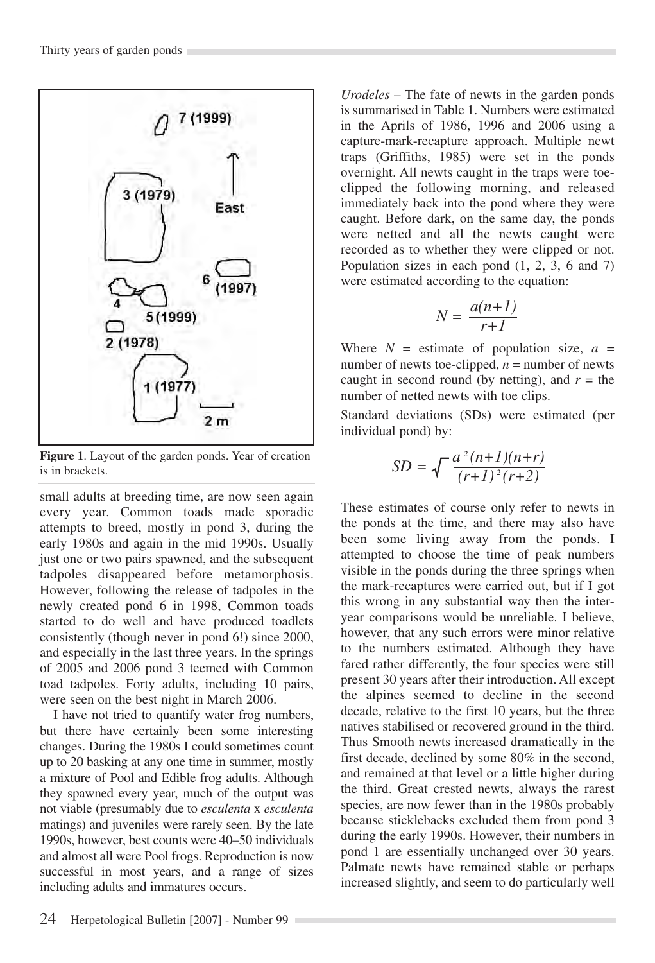

**Figure 1**. Layout of the garden ponds. Year of creation is in brackets.

small adults at breeding time, are now seen again every year. Common toads made sporadic attempts to breed, mostly in pond 3, during the early 1980s and again in the mid 1990s. Usually just one or two pairs spawned, and the subsequent tadpoles disappeared before metamorphosis. However, following the release of tadpoles in the newly created pond 6 in 1998, Common toads started to do well and have produced toadlets consistently (though never in pond 6!) since 2000, and especially in the last three years. In the springs of 2005 and 2006 pond 3 teemed with Common toad tadpoles. Forty adults, including 10 pairs, were seen on the best night in March 2006.

I have not tried to quantify water frog numbers, but there have certainly been some interesting changes. During the 1980s I could sometimes count up to 20 basking at any one time in summer, mostly a mixture of Pool and Edible frog adults. Although they spawned every year, much of the output was not viable (presumably due to *esculenta* x *esculenta* matings) and juveniles were rarely seen. By the late 1990s, however, best counts were 40–50 individuals and almost all were Pool frogs. Reproduction is now successful in most years, and a range of sizes including adults and immatures occurs.

*Urodeles* – The fate of newts in the garden ponds is summarised in Table 1. Numbers were estimated in the Aprils of 1986, 1996 and 2006 using a capture-mark-recapture approach. Multiple newt traps (Griffiths, 1985) were set in the ponds overnight. All newts caught in the traps were toeclipped the following morning, and released immediately back into the pond where they were caught. Before dark, on the same day, the ponds were netted and all the newts caught were recorded as to whether they were clipped or not. Population sizes in each pond (1, 2, 3, 6 and 7) were estimated according to the equation:

$$
N = \frac{a(n+1)}{r+1}
$$

Where  $N =$  estimate of population size,  $a =$ number of newts toe-clipped,  $n =$  number of newts caught in second round (by netting), and  $r =$  the number of netted newts with toe clips.

Standard deviations (SDs) were estimated (per individual pond) by:

$$
SD = \sqrt{\frac{a^2(n+1)(n+r)}{(r+1)^2(r+2)}}
$$

These estimates of course only refer to newts in the ponds at the time, and there may also have been some living away from the ponds. I attempted to choose the time of peak numbers visible in the ponds during the three springs when the mark-recaptures were carried out, but if I got this wrong in any substantial way then the interyear comparisons would be unreliable. I believe, however, that any such errors were minor relative to the numbers estimated. Although they have fared rather differently, the four species were still present 30 years after their introduction. All except the alpines seemed to decline in the second decade, relative to the first 10 years, but the three natives stabilised or recovered ground in the third. Thus Smooth newts increased dramatically in the first decade, declined by some 80% in the second, and remained at that level or a little higher during the third. Great crested newts, always the rarest species, are now fewer than in the 1980s probably because sticklebacks excluded them from pond 3 during the early 1990s. However, their numbers in pond 1 are essentially unchanged over 30 years. Palmate newts have remained stable or perhaps increased slightly, and seem to do particularly well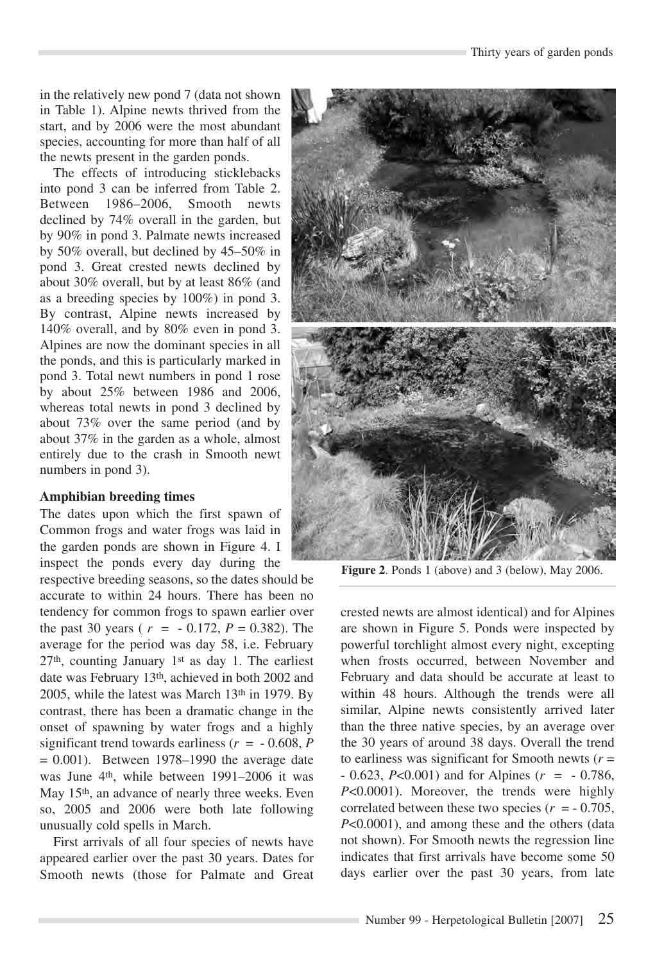in the relatively new pond 7 (data not shown in Table 1). Alpine newts thrived from the start, and by 2006 were the most abundant species, accounting for more than half of all the newts present in the garden ponds.

The effects of introducing sticklebacks into pond 3 can be inferred from Table 2. Between 1986–2006, Smooth newts declined by 74% overall in the garden, but by 90% in pond 3. Palmate newts increased by 50% overall, but declined by 45–50% in pond 3. Great crested newts declined by about 30% overall, but by at least 86% (and as a breeding species by 100%) in pond 3. By contrast, Alpine newts increased by 140% overall, and by 80% even in pond 3. Alpines are now the dominant species in all the ponds, and this is particularly marked in pond 3. Total newt numbers in pond 1 rose by about 25% between 1986 and 2006, whereas total newts in pond 3 declined by about 73% over the same period (and by about 37% in the garden as a whole, almost entirely due to the crash in Smooth newt numbers in pond 3).

### **Amphibian breeding times**

The dates upon which the first spawn of Common frogs and water frogs was laid in the garden ponds are shown in Figure 4. I inspect the ponds every day during the

respective breeding seasons, so the dates should be accurate to within 24 hours. There has been no tendency for common frogs to spawn earlier over the past 30 years ( $r = -0.172$ ,  $P = 0.382$ ). The average for the period was day 58, i.e. February 27th, counting January 1st as day 1. The earliest date was February 13th, achieved in both 2002 and 2005, while the latest was March 13th in 1979. By contrast, there has been a dramatic change in the onset of spawning by water frogs and a highly significant trend towards earliness ( $r = -0.608$ , *P*  $= 0.001$ ). Between 1978–1990 the average date was June 4<sup>th</sup>, while between 1991–2006 it was May 15th, an advance of nearly three weeks. Even so, 2005 and 2006 were both late following unusually cold spells in March.

First arrivals of all four species of newts have appeared earlier over the past 30 years. Dates for Smooth newts (those for Palmate and Great



**Figure 2**. Ponds 1 (above) and 3 (below), May 2006.

crested newts are almost identical) and for Alpines are shown in Figure 5. Ponds were inspected by powerful torchlight almost every night, excepting when frosts occurred, between November and February and data should be accurate at least to within 48 hours. Although the trends were all similar, Alpine newts consistently arrived later than the three native species, by an average over the 30 years of around 38 days. Overall the trend to earliness was significant for Smooth newts  $(r =$ - 0.623, *P*<0.001) and for Alpines (*r* = - 0.786, *P*<0.0001). Moreover, the trends were highly correlated between these two species  $(r = -0.705)$ , *P*<0.0001), and among these and the others (data not shown). For Smooth newts the regression line indicates that first arrivals have become some 50 days earlier over the past 30 years, from late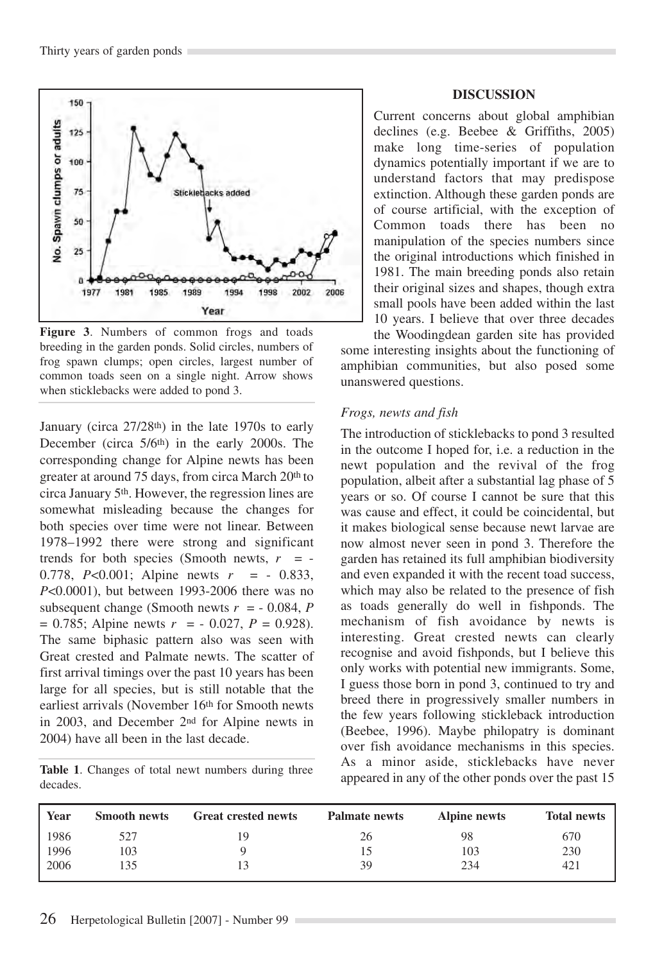

**Figure 3**. Numbers of common frogs and toads breeding in the garden ponds. Solid circles, numbers of frog spawn clumps; open circles, largest number of common toads seen on a single night. Arrow shows when sticklebacks were added to pond 3.

January (circa 27/28<sup>th</sup>) in the late 1970s to early December (circa 5/6th) in the early 2000s. The corresponding change for Alpine newts has been greater at around 75 days, from circa March 20<sup>th</sup> to circa January 5th. However, the regression lines are somewhat misleading because the changes for both species over time were not linear. Between 1978–1992 there were strong and significant trends for both species (Smooth newts,  $r = -$ 0.778, *P*<0.001; Alpine newts *r* = - 0.833, *P*<0.0001), but between 1993-2006 there was no subsequent change (Smooth newts  $r = -0.084$ , *P*  $= 0.785$ ; Alpine newts  $r = -0.027$ ,  $P = 0.928$ ). The same biphasic pattern also was seen with Great crested and Palmate newts. The scatter of first arrival timings over the past 10 years has been large for all species, but is still notable that the earliest arrivals (November 16<sup>th</sup> for Smooth newts in 2003, and December 2nd for Alpine newts in 2004) have all been in the last decade.

**Table 1**. Changes of total newt numbers during three decades.

# **DISCUSSION**

Current concerns about global amphibian declines (e.g. Beebee & Griffiths, 2005) make long time-series of population dynamics potentially important if we are to understand factors that may predispose extinction. Although these garden ponds are of course artificial, with the exception of Common toads there has been no manipulation of the species numbers since the original introductions which finished in 1981. The main breeding ponds also retain their original sizes and shapes, though extra small pools have been added within the last 10 years. I believe that over three decades

the Woodingdean garden site has provided some interesting insights about the functioning of amphibian communities, but also posed some unanswered questions.

# *Frogs, newts and fish*

The introduction of sticklebacks to pond 3 resulted in the outcome I hoped for, i.e. a reduction in the newt population and the revival of the frog population, albeit after a substantial lag phase of 5 years or so. Of course I cannot be sure that this was cause and effect, it could be coincidental, but it makes biological sense because newt larvae are now almost never seen in pond 3. Therefore the garden has retained its full amphibian biodiversity and even expanded it with the recent toad success, which may also be related to the presence of fish as toads generally do well in fishponds. The mechanism of fish avoidance by newts is interesting. Great crested newts can clearly recognise and avoid fishponds, but I believe this only works with potential new immigrants. Some, I guess those born in pond 3, continued to try and breed there in progressively smaller numbers in the few years following stickleback introduction (Beebee, 1996). Maybe philopatry is dominant over fish avoidance mechanisms in this species. As a minor aside, sticklebacks have never appeared in any of the other ponds over the past 15

| Year | <b>Smooth newts</b> | <b>Great crested newts</b> | <b>Palmate newts</b> | Alpine newts | <b>Total newts</b> |
|------|---------------------|----------------------------|----------------------|--------------|--------------------|
| 1986 | 527                 | 19                         | 26                   | 98           | 670                |
| 1996 | 103                 |                            | 15                   | 103          | 230                |
| 2006 | .35                 | 13                         | 39                   | 234          | 421                |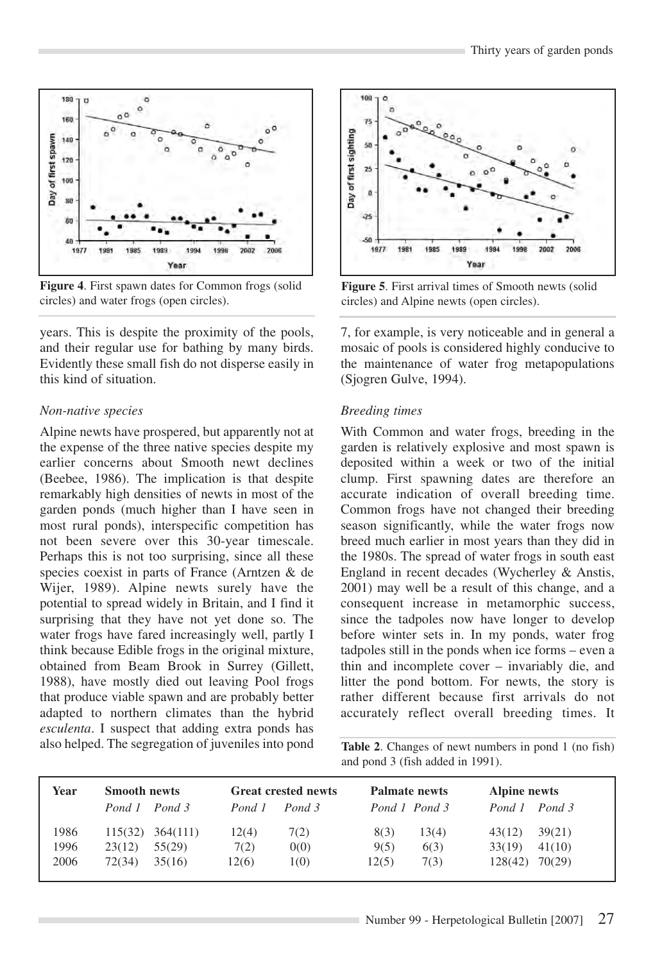

**Figure 4**. First spawn dates for Common frogs (solid circles) and water frogs (open circles).

years. This is despite the proximity of the pools, and their regular use for bathing by many birds. Evidently these small fish do not disperse easily in this kind of situation.

# *Non-native species*

Alpine newts have prospered, but apparently not at the expense of the three native species despite my earlier concerns about Smooth newt declines (Beebee, 1986). The implication is that despite remarkably high densities of newts in most of the garden ponds (much higher than I have seen in most rural ponds), interspecific competition has not been severe over this 30-year timescale. Perhaps this is not too surprising, since all these species coexist in parts of France (Arntzen & de Wijer, 1989). Alpine newts surely have the potential to spread widely in Britain, and I find it surprising that they have not yet done so. The water frogs have fared increasingly well, partly I think because Edible frogs in the original mixture, obtained from Beam Brook in Surrey (Gillett, 1988), have mostly died out leaving Pool frogs that produce viable spawn and are probably better adapted to northern climates than the hybrid *esculenta*. I suspect that adding extra ponds has also helped. The segregation of juveniles into pond



**Figure 5**. First arrival times of Smooth newts (solid circles) and Alpine newts (open circles).

7, for example, is very noticeable and in general a mosaic of pools is considered highly conducive to the maintenance of water frog metapopulations (Sjogren Gulve, 1994).

# *Breeding times*

With Common and water frogs, breeding in the garden is relatively explosive and most spawn is deposited within a week or two of the initial clump. First spawning dates are therefore an accurate indication of overall breeding time. Common frogs have not changed their breeding season significantly, while the water frogs now breed much earlier in most years than they did in the 1980s. The spread of water frogs in south east England in recent decades (Wycherley & Anstis, 2001) may well be a result of this change, and a consequent increase in metamorphic success, since the tadpoles now have longer to develop before winter sets in. In my ponds, water frog tadpoles still in the ponds when ice forms – even a thin and incomplete cover – invariably die, and litter the pond bottom. For newts, the story is rather different because first arrivals do not accurately reflect overall breeding times. It

**Table 2**. Changes of newt numbers in pond 1 (no fish) and pond 3 (fish added in 1991).

| Year | <b>Smooth newts</b> | <b>Great crested newts</b> | Palmate newts | Alpine newts  |  |
|------|---------------------|----------------------------|---------------|---------------|--|
|      | Pond 1 Pond 3       | Pond 3<br>Pond 1           | Pond 1 Pond 3 | Pond 1 Pond 3 |  |
| 1986 | 364(111)            | 12(4)                      | 13(4)         | 39(21)        |  |
|      | 115(32)             | 7(2)                       | 8(3)          | 43(12)        |  |
| 1996 | 55(29)              | 0(0)                       | 6(3)          | 33(19)        |  |
|      | 23(12)              | 7(2)                       | 9(5)          | 41(10)        |  |
| 2006 | 72(34)              | 12(6)                      | 12(5)         | 70(29)        |  |
|      | 35(16)              | 1(0)                       | 7(3)          | 128(42)       |  |